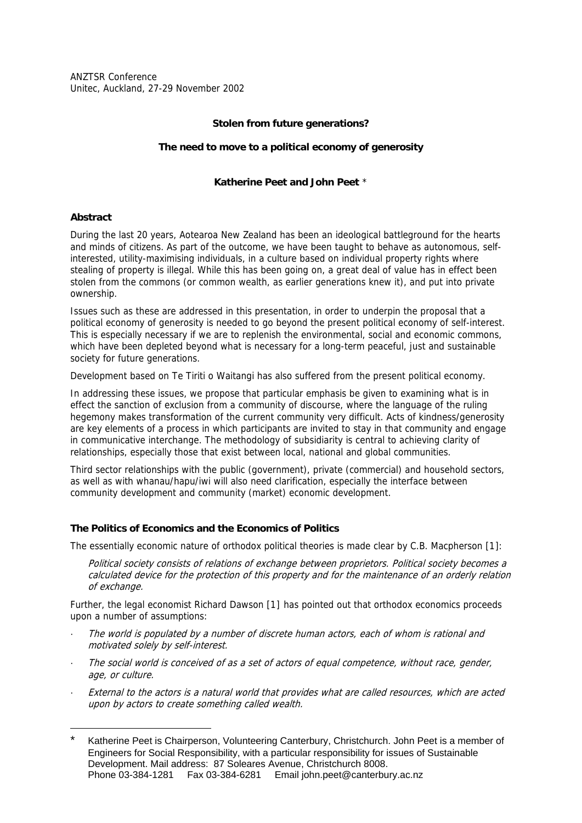ANZTSR Conference Unitec, Auckland, 27-29 November 2002

## **Stolen from future generations?**

### **The need to move to a political economy of generosity**

### **Katherine Peet and John Peet** [\\*](#page-0-0)

### **Abstract**

1

During the last 20 years, Aotearoa New Zealand has been an ideological battleground for the hearts and minds of citizens. As part of the outcome, we have been taught to behave as autonomous, selfinterested, utility-maximising individuals, in a culture based on individual property rights where stealing of property is illegal. While this has been going on, a great deal of value has in effect been stolen from the commons (or common wealth, as earlier generations knew it), and put into private ownership.

Issues such as these are addressed in this presentation, in order to underpin the proposal that a political economy of generosity is needed to go beyond the present political economy of self-interest. This is especially necessary if we are to replenish the environmental, social and economic commons, which have been depleted beyond what is necessary for a long-term peaceful, just and sustainable society for future generations.

Development based on Te Tiriti o Waitangi has also suffered from the present political economy.

In addressing these issues, we propose that particular emphasis be given to examining what is in effect the sanction of exclusion from a community of discourse, where the language of the ruling hegemony makes transformation of the current community very difficult. Acts of kindness/generosity are key elements of a process in which participants are invited to stay in that community and engage in communicative interchange. The methodology of subsidiarity is central to achieving clarity of relationships, especially those that exist between local, national and global communities.

Third sector relationships with the public (government), private (commercial) and household sectors, as well as with whanau/hapu/iwi will also need clarification, especially the interface between community development and community (market) economic development.

## **The Politics of Economics and the Economics of Politics**

The essentially economic nature of orthodox political theories is made clear by C.B. Macpherson [1[\]:](#page-7-0) 

Political society consists of relations of exchange between proprietors. Political society becomes a calculated device for the protection of this property and for the maintenance of an orderly relation of exchange.

Further, the legal economist Richard Dawson [1[\]](#page-7-1) has pointed out that orthodox economics proceeds upon a number of assumptions:

- The world is populated by a number of discrete human actors, each of whom is rational and motivated solely by self-interest.
- · The social world is conceived of as a set of actors of equal competence, without race, gender, age, or culture.
- External to the actors is a natural world that provides what are called resources, which are acted upon by actors to create something called wealth.

<span id="page-0-0"></span>Katherine Peet is Chairperson, Volunteering Canterbury, Christchurch. John Peet is a member of Engineers for Social Responsibility, with a particular responsibility for issues of Sustainable Development. Mail address: 87 Soleares Avenue, Christchurch 8008. Phone 03-384-1281 Fax 03-384-6281 Email john.peet@canterbury.ac.nz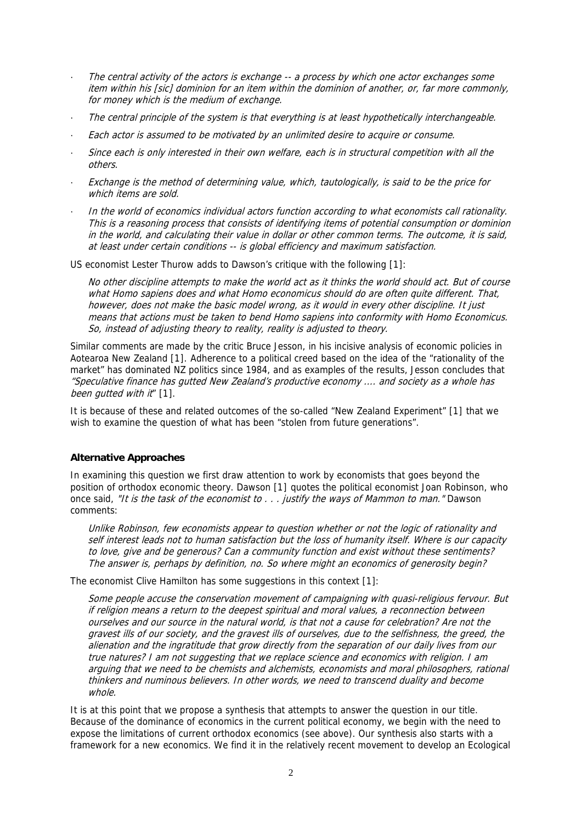- The central activity of the actors is exchange -- a process by which one actor exchanges some item within his [sic] dominion for an item within the dominion of another, or, far more commonly, for money which is the medium of exchange.
- · The central principle of the system is that everything is at least hypothetically interchangeable.
- · Each actor is assumed to be motivated by an unlimited desire to acquire or consume.
- Since each is only interested in their own welfare, each is in structural competition with all the others.
- Exchange is the method of determining value, which, tautologically, is said to be the price for which items are sold.
- · In the world of economics individual actors function according to what economists call rationality. This is a reasoning process that consists of identifying items of potential consumption or dominion in the world, and calculating their value in dollar or other common terms. The outcome, it is said, at least under certain conditions -- is global efficiency and maximum satisfaction.

US economist Lester Thurow adds to Dawson's critique with the following [1[\]:](#page-7-2) 

No other discipline attempts to make the world act as it thinks the world should act. But of course what Homo sapiens does and what Homo economicus should do are often quite different. That, however, does not make the basic model wrong, as it would in every other discipline. It just means that actions must be taken to bend Homo sapiens into conformity with Homo Economicus. So, instead of adjusting theory to reality, reality is adjusted to theory.

Similar comments are made by the critic Bruce Jesson, in his incisive analysis of economic policies in Aotearoa New Zealand [1[\].](#page-7-2) Adherence to a political creed based on the idea of the "rationality of the market" has dominated NZ politics since 1984, and as examples of the results, Jesson concludes that "Speculative finance has gutted New Zealand's productive economy .... and society as a whole has been autted with it" [1[\].](#page-7-2)

It is because of these and related outcomes of the so-called "New Zealand Experiment" [1[\]](#page-7-2) that we wish to examine the question of what has been "stolen from future generations".

## **Alternative Approaches**

In examining this question we first draw attention to work by economists that goes beyond the position of orthodox economic theory. Dawson [1[\]](#page-7-2) quotes the political economist Joan Robinson, who once said. "It is the task of the economist to . . . justify the ways of Mammon to man." Dawson comments:

Unlike Robinson, few economists appear to question whether or not the logic of rationality and self interest leads not to human satisfaction but the loss of humanity itself. Where is our capacity to love, give and be generous? Can a community function and exist without these sentiments? The answer is, perhaps by definition, no. So where might an economics of generosity begin?

The economist Clive Hamilton has some suggestions in this context [1[\]:](#page-7-2) 

Some people accuse the conservation movement of campaigning with quasi-religious fervour. But if religion means a return to the deepest spiritual and moral values, a reconnection between ourselves and our source in the natural world, is that not a cause for celebration? Are not the gravest ills of our society, and the gravest ills of ourselves, due to the selfishness, the greed, the alienation and the ingratitude that grow directly from the separation of our daily lives from our true natures? I am not suggesting that we replace science and economics with religion. I am arguing that we need to be chemists and alchemists, economists and moral philosophers, rational thinkers and numinous believers. In other words, we need to transcend duality and become whole.

It is at this point that we propose a synthesis that attempts to answer the question in our title. Because of the dominance of economics in the current political economy, we begin with the need to expose the limitations of current orthodox economics (see above). Our synthesis also starts with a framework for a new economics. We find it in the relatively recent movement to develop an Ecological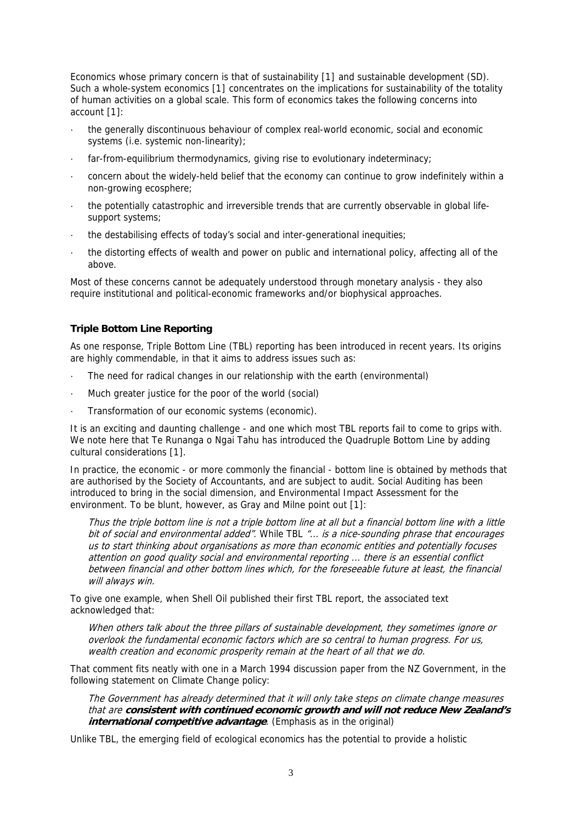Economics whose primary concern is that of sustainability [1[\]](#page-7-3) and sustainable development (SD). Such a whole-system economics [1[\]](#page-7-3) concentrates on the implications for sustainability of the totality of human activities on a global scale. This form of economics takes the following concerns into account [1[\]:](#page-7-3) 

- · the generally discontinuous behaviour of complex real-world economic, social and economic systems (i.e. systemic non-linearity);
- far-from-equilibrium thermodynamics, giving rise to evolutionary indeterminacy;
- · concern about the widely-held belief that the economy can continue to grow indefinitely within a non-growing ecosphere;
- · the potentially catastrophic and irreversible trends that are currently observable in global lifesupport systems;
- · the destabilising effects of today's social and inter-generational inequities;
- · the distorting effects of wealth and power on public and international policy, affecting all of the above.

Most of these concerns cannot be adequately understood through monetary analysis - they also require institutional and political-economic frameworks and/or biophysical approaches.

## **Triple Bottom Line Reporting**

As one response, Triple Bottom Line (TBL) reporting has been introduced in recent years. Its origins are highly commendable, in that it aims to address issues such as:

- The need for radical changes in our relationship with the earth (environmental)
- Much greater justice for the poor of the world (social)
- Transformation of our economic systems (economic).

It is an exciting and daunting challenge - and one which most TBL reports fail to come to grips with. We note here that Te Runanga o Ngai Tahu has introduced the Quadruple Bottom Line by adding cultural considerations [1[\].](#page-7-3) 

In practice, the economic - or more commonly the financial - bottom line is obtained by methods that are authorised by the Society of Accountants, and are subject to audit. Social Auditing has been introduced to bring in the social dimension, and Environmental Impact Assessment for the environment. To be blunt, however, as Gray and Milne point out [1[\]:](#page-7-3)

Thus the triple bottom line is not a triple bottom line at all but a financial bottom line with a little bit of social and environmental added". While TBL "... is a nice-sounding phrase that encourages us to start thinking about organisations as more than economic entities and potentially focuses attention on good quality social and environmental reporting ... there is an essential conflict between financial and other bottom lines which, for the foreseeable future at least, the financial will always win.

To give one example, when Shell Oil published their first TBL report, the associated text acknowledged that:

When others talk about the three pillars of sustainable development, they sometimes ignore or overlook the fundamental economic factors which are so central to human progress. For us, wealth creation and economic prosperity remain at the heart of all that we do.

That comment fits neatly with one in a March 1994 discussion paper from the NZ Government, in the following statement on Climate Change policy:

The Government has already determined that it will only take steps on climate change measures that are **consistent with continued economic growth and will not reduce New Zealand's**  *international competitive advantage.* (Emphasis as in the original)

Unlike TBL, the emerging field of ecological economics has the potential to provide a holistic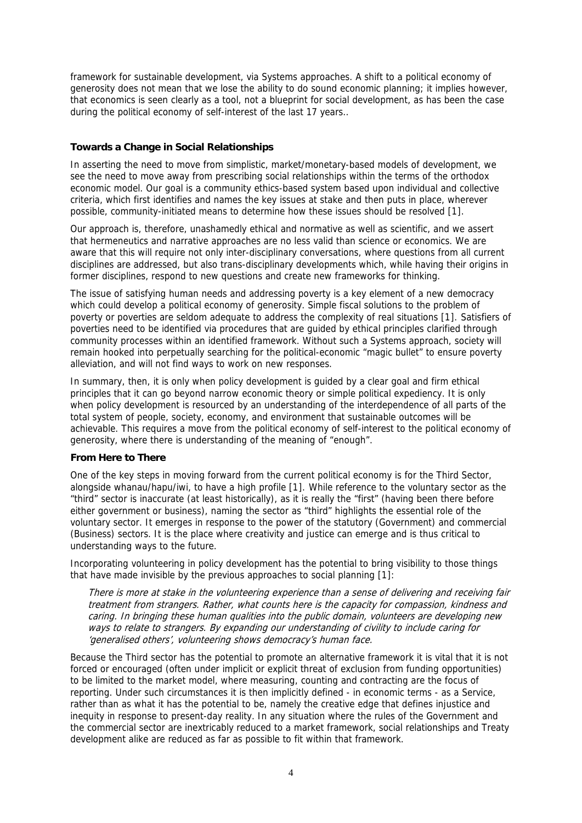framework for sustainable development, via Systems approaches. A shift to a political economy of generosity does not mean that we lose the ability to do sound economic planning; it implies however, that economics is seen clearly as a tool, not a blueprint for social development, as has been the case during the political economy of self-interest of the last 17 years..

### **Towards a Change in Social Relationships**

In asserting the need to move from simplistic, market/monetary-based models of development, we see the need to move away from prescribing social relationships within the terms of the orthodox economic model. Our goal is a community ethics-based system based upon individual and collective criteria, which first identifies and names the key issues at stake and then puts in place, wherever possible, community-initiated means to determine how these issues should be resolved [1[\].](#page-7-4)

Our approach is, therefore, unashamedly ethical and normative as well as scientific, and we assert that hermeneutics and narrative approaches are no less valid than science or economics. We are aware that this will require not only inter-disciplinary conversations, where questions from all current disciplines are addressed, but also trans-disciplinary developments which, while having their origins in former disciplines, respond to new questions and create new frameworks for thinking.

The issue of satisfying human needs and addressing poverty is a key element of a new democracy which could develop a political economy of generosity. Simple fiscal solutions to the problem of poverty or poverties are seldom adequate to address the complexity of real situations [1[\].](#page-7-4) Satisfiers of poverties need to be identified via procedures that are guided by ethical principles clarified through community processes within an identified framework. Without such a Systems approach, society will remain hooked into perpetually searching for the political-economic "magic bullet" to ensure poverty alleviation, and will not find ways to work on new responses.

In summary, then, it is only when policy development is guided by a clear goal and firm ethical principles that it can go beyond narrow economic theory or simple political expediency. It is only when policy development is resourced by an understanding of the interdependence of all parts of the total system of people, society, economy, and environment that sustainable outcomes will be achievable. This requires a move from the political economy of self-interest to the political economy of generosity, where there is understanding of the meaning of "enough".

#### **From Here to There**

One of the key steps in moving forward from the current political economy is for the Third Sector, alongside whanau/hapu/iwi, to have a high profile [1[\].](#page-8-0) While reference to the voluntary sector as the "third" sector is inaccurate (at least historically), as it is really the "first" (having been there before either government or business), naming the sector as "third" highlights the essential role of the voluntary sector. It emerges in response to the power of the statutory (Government) and commercial (Business) sectors. It is the place where creativity and justice can emerge and is thus critical to understanding ways to the future.

Incorporating volunteering in policy development has the potential to bring visibility to those things that have made invisible by the previous approaches to social planning [1[\]:](#page-8-0)

There is more at stake in the volunteering experience than a sense of delivering and receiving fair treatment from strangers. Rather, what counts here is the capacity for compassion, kindness and caring. In bringing these human qualities into the public domain, volunteers are developing new ways to relate to strangers. By expanding our understanding of civility to include caring for 'generalised others', volunteering shows democracy's human face.

Because the Third sector has the potential to promote an alternative framework it is vital that it is not forced or encouraged (often under implicit or explicit threat of exclusion from funding opportunities) to be limited to the market model, where measuring, counting and contracting are the focus of reporting. Under such circumstances it is then implicitly defined - in economic terms - as a Service, rather than as what it has the potential to be, namely the creative edge that defines injustice and inequity in response to present-day reality. In any situation where the rules of the Government and the commercial sector are inextricably reduced to a market framework, social relationships and Treaty development alike are reduced as far as possible to fit within that framework.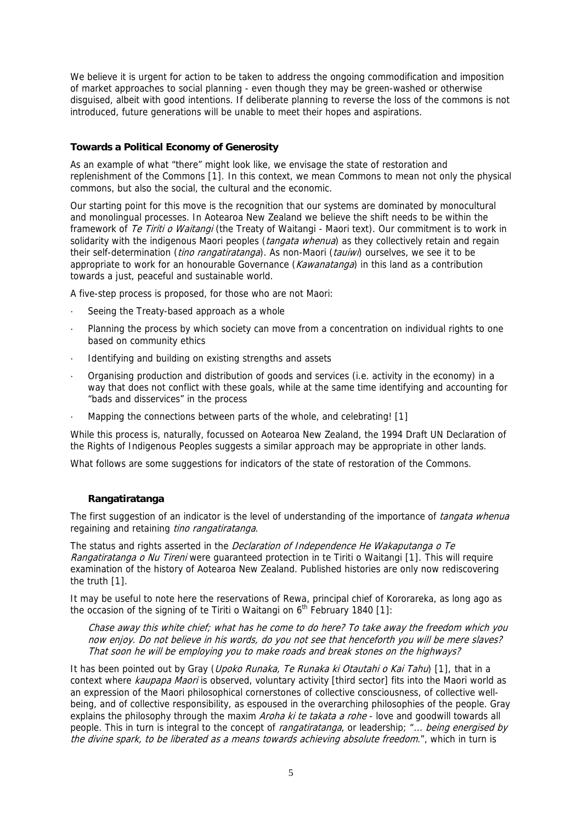We believe it is urgent for action to be taken to address the ongoing commodification and imposition of market approaches to social planning - even though they may be green-washed or otherwise disguised, albeit with good intentions. If deliberate planning to reverse the loss of the commons is not introduced, future generations will be unable to meet their hopes and aspirations.

### **Towards a Political Economy of Generosity**

As an example of what "there" might look like, we envisage the state of restoration and replenishment of the Commons [1[\].](#page-8-0) In this context, we mean Commons to mean not only the physical commons, but also the social, the cultural and the economic.

Our starting point for this move is the recognition that our systems are dominated by monocultural and monolingual processes. In Aotearoa New Zealand we believe the shift needs to be within the framework of Te Tiriti o Waitangi (the Treaty of Waitangi - Maori text). Our commitment is to work in solidarity with the indigenous Maori peoples (*tangata whenua*) as they collectively retain and regain their self-determination (*tino rangatiratanga*). As non-Maori (*tauiwi*) ourselves, we see it to be appropriate to work for an honourable Governance (*Kawanatanga*) in this land as a contribution towards a just, peaceful and sustainable world.

A five-step process is proposed, for those who are not Maori:

- Seeing the Treaty-based approach as a whole
- · Planning the process by which society can move from a concentration on individual rights to one based on community ethics
- Identifying and building on existing strengths and assets
- · Organising production and distribution of goods and services (i.e. activity in the economy) in a way that does not conflict with these goals, while at the same time identifying and accounting for "bads and disservices" in the process
- Mapping the connections between parts of the whole, and celebrating! [1]

While this process is, naturally, focussed on Aotearoa New Zealand, the 1994 Draft UN Declaration of the Rights of Indigenous Peoples suggests a similar approach may be appropriate in other lands.

What follows are some suggestions for indicators of the state of restoration of the Commons.

## **Rangatiratanga**

The first suggestion of an indicator is the level of understanding of the importance of *tangata whenua* regaining and retaining tino rangatiratanga.

The status and rights asserted in the *Declaration of Independence He Wakaputanga o Te* Rangatiratanga o Nu Tireni were guaranteed protection in te Tiriti o Waitangi [1[\].](#page-8-1) This will require examination of the history of Aotearoa New Zealand. Published histories are only now rediscovering the truth [1[\].](#page-8-1) 

It may be useful to note here the reservations of Rewa, principal chief of Kororareka, as long ago as the occasion of the signing of te Tiriti o Waitangi on  $6<sup>th</sup>$  February 1840 [1]:

Chase away this white chief; what has he come to do here? To take away the freedom which you now enjoy. Do not believe in his words, do you not see that henceforth you will be mere slaves? That soon he will be employing you to make roads and break stones on the highways?

It has been pointed out by Gray (*Upoko Runaka, Te Runaka ki Otautahi o Kai Tahu*) [1[\],](#page-8-1) that in a context where kaupapa Maori is observed, voluntary activity [third sector] fits into the Maori world as an expression of the Maori philosophical cornerstones of collective consciousness, of collective wellbeing, and of collective responsibility, as espoused in the overarching philosophies of the people. Gray explains the philosophy through the maxim *Aroha ki te takata a rohe* - love and goodwill towards all people. This in turn is integral to the concept of *rangatiratanga*, or leadership; "... being energised by the divine spark, to be liberated as a means towards achieving absolute freedom.", which in turn is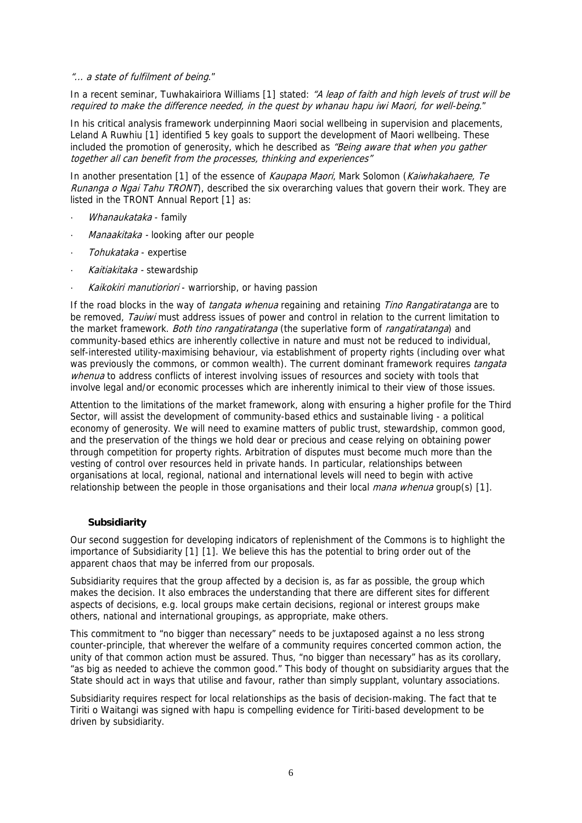#### "... a state of fulfilment of being."

In a recent seminar, Tuwhakairiora Williams [1[\]](#page-8-1) stated: "A leap of faith and high levels of trust will be required to make the difference needed, in the quest by whanau hapu iwi Maori, for well-being."

In his critical analysis framework underpinning Maori social wellbeing in supervision and placements, Leland A Ruwhiu [1[\]](#page-8-1) identified 5 key goals to support the development of Maori wellbeing. These included the promotion of generosity, which he described as *"Being aware that when you gather* together all can benefit from the processes, thinking and experiences"

In another presentation [1[\]](#page-8-1) of the essence of *Kaupapa Maori*, Mark Solomon (Kaiwhakahaere, Te Runanga o Ngai Tahu TRONT), described the six overarching values that govern their work. They are listed in the TRONT Annual Report [1[\]](#page-8-1) as:

- Whanaukataka family
- Manaakitaka looking after our people
- Tohukataka expertise
- Kaitiakitaka stewardship
- Kaikokiri manutioriori warriorship, or having passion

If the road blocks in the way of *tangata whenua* regaining and retaining *Tino Rangatiratanga* are to be removed, *Tauiwi* must address issues of power and control in relation to the current limitation to the market framework. Both tino rangatiratanga (the superlative form of rangatiratanga) and community-based ethics are inherently collective in nature and must not be reduced to individual, self-interested utility-maximising behaviour, via establishment of property rights (including over what was previously the commons, or common wealth). The current dominant framework requires *tangata* whenua to address conflicts of interest involving issues of resources and society with tools that involve legal and/or economic processes which are inherently inimical to their view of those issues.

Attention to the limitations of the market framework, along with ensuring a higher profile for the Third Sector, will assist the development of community-based ethics and sustainable living - a political economy of generosity. We will need to examine matters of public trust, stewardship, common good, and the preservation of the things we hold dear or precious and cease relying on obtaining power through competition for property rights. Arbitration of disputes must become much more than the vesting of control over resources held in private hands. In particular, relationships between organisations at local, regional, national and international levels will need to begin with active relationship between the people in those organisations and their local *mana whenua* group(s) [1].

#### **Subsidiarity**

apparent chaos that may be inferred from our proposals. Our second suggestion for developing indicators of replenishment of the Commons is to highlight the importance of Subsidiarity [1[\]](#page-8-2) [1[\].](#page-8-2) We believe this has the potential to bring order out of the

Subsidiarity requires that the group affected by a decision is, as far as possible, the group which makes the decision. It also embraces the understanding that there are different sites for different aspects of decisions, e.g. local groups make certain decisions, regional or interest groups make others, national and international groupings, as appropriate, make others.

This commitment to "no bigger than necessary" needs to be juxtaposed against a no less strong counter-principle, that wherever the welfare of a community requires concerted common action, the unity of that common action must be assured. Thus, "no bigger than necessary" has as its corollary, "as big as needed to achieve the common good." This body of thought on subsidiarity argues that the State should act in ways that utilise and favour, rather than simply supplant, voluntary associations.

Subsidiarity requires respect for local relationships as the basis of decision-making. The fact that te Tiriti o Waitangi was signed with hapu is compelling evidence for Tiriti-based development to be driven by subsidiarity.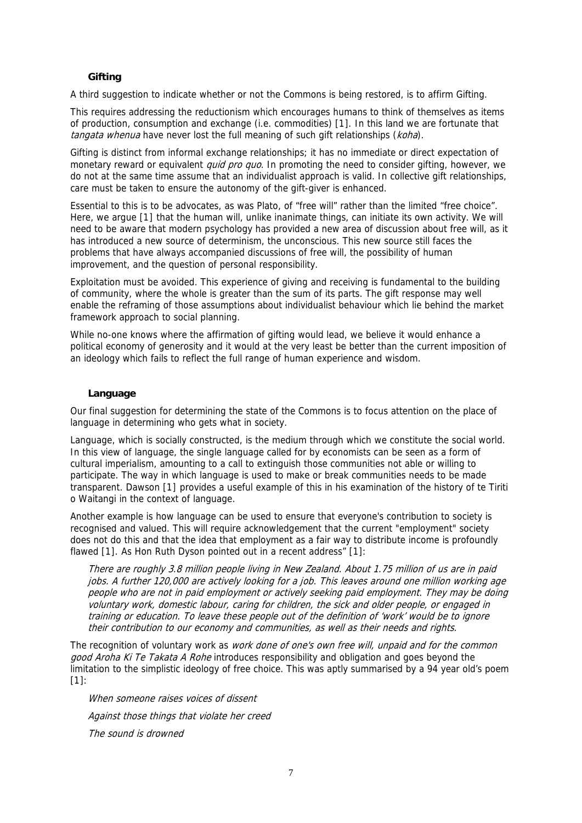## **Gifting**

A third suggestion to indicate whether or not the Commons is being restored, is to affirm Gifting.

This requires addressing the reductionism which encourages humans to think of themselves as items of production, consumption and exchange (i.e. commodities) [1[\].](#page-8-2) In this land we are fortunate that tangata whenua have never lost the full meaning of such gift relationships (koha).

Gifting is distinct from informal exchange relationships; it has no immediate or direct expectation of monetary reward or equivalent *quid pro quo*. In promoting the need to consider gifting, however, we do not at the same time assume that an individualist approach is valid. In collective gift relationships, care must be taken to ensure the autonomy of the gift-giver is enhanced.

Essential to this is to be advocates, as was Plato, of "free will" rather than the limited "free choice". Here, we argue [1[\]](#page-8-3) that the human will, unlike inanimate things, can initiate its own activity. We will need to be aware that modern psychology has provided a new area of discussion about free will, as it has introduced a new source of determinism, the unconscious. This new source still faces the problems that have always accompanied discussions of free will, the possibility of human improvement, and the question of personal responsibility.

Exploitation must be avoided. This experience of giving and receiving is fundamental to the building of community, where the whole is greater than the sum of its parts. The gift response may well enable the reframing of those assumptions about individualist behaviour which lie behind the market framework approach to social planning.

While no-one knows where the affirmation of gifting would lead, we believe it would enhance a political economy of generosity and it would at the very least be better than the current imposition of an ideology which fails to reflect the full range of human experience and wisdom.

## **Language**

Our final suggestion for determining the state of the Commons is to focus attention on the place of language in determining who gets what in society.

Language, which is socially constructed, is the medium through which we constitute the social world. In this view of language, the single language called for by economists can be seen as a form of cultural imperialism, amounting to a call to extinguish those communities not able or willing to participate. The way in which language is used to make or break communities needs to be made transparent. Dawson [1[\]](#page-8-4) provides a useful example of this in his examination of the history of te Tiriti o Waitangi in the context of language.

Another example is how language can be used to ensure that everyone's contribution to society is recognised and valued. This will require acknowledgement that the current "employment" society does not do this and that the idea that employment as a fair way to distribute income is profoundly flawed [1[\].](#page-8-5) As Hon Ruth Dyson pointed out in a recent address" [1]:

There are roughly 3.8 million people living in New Zealand. About 1.75 million of us are in paid jobs. A further 120,000 are actively looking for a job. This leaves around one million working age people who are not in paid employment or actively seeking paid employment. They may be doing voluntary work, domestic labour, caring for children, the sick and older people, or engaged in training or education. To leave these people out of the definition of 'work' would be to ignore their contribution to our economy and communities, as well as their needs and rights.

The recognition of voluntary work as work done of one's own free will, unpaid and for the common good Aroha Ki Te Takata A Rohe introduces responsibility and obligation and goes beyond the limitation to the simplistic ideology of free choice. This was aptly summarised by a 94 year old's poem [1[\]:](#page-8-7) 

When someone raises voices of dissent Against those things that violate her creed The sound is drowned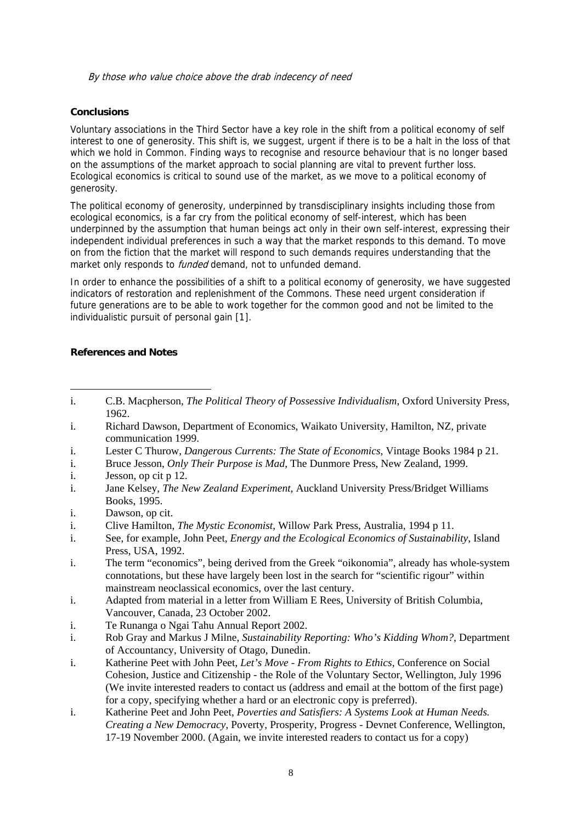By those who value choice above the drab indecency of need

## <span id="page-7-1"></span>**Conclusions**

Voluntary associations in the Third Sector have a key role in the shift from a political economy of self interest to one of generosity. This shift is, we suggest, urgent if there is to be a halt in the loss of that which we hold in Common. Finding ways to recognise and resource behaviour that is no longer based on the assumptions of the market approach to social planning are vital to prevent further loss. Ecological economics is critical to sound use of the market, as we move to a political economy of generosity.

The political economy of generosity, underpinned by transdisciplinary insights including those from ecological economics, is a far cry from the political economy of self-interest, which has been underpinned by the assumption that human beings act only in their own self-interest, expressing their independent individual preferences in such a way that the market responds to this demand. To move on from the fiction that the market will respond to such demands requires understanding that the market only responds to *funded* demand, not to unfunded demand.

In order to enhance the possibilities of a shift to a political economy of generosity, we have suggested indicators of restoration and replenishment of the Commons. These need urgent consideration if future generations are to be able to work together for the common good and not be limited to the individualistic pursuit of personal gain [1[\].](#page-8-8) 

# **References and Notes**

- i. Richard Dawson, Department of Economics, Waikato University, Hamilton, NZ, private communication 1999.
- i. Lester C Thurow, *Dangerous Currents: The State of Economics*, Vintage Books 1984 p 21.
- i. Bruce Jesson, *Only Their Purpose is Mad*, The Dunmore Press, New Zealand, 1999.
- i. Jesson, op cit p 12.
- i. Jane Kelsey, *The New Zealand Experiment*, Auckland University Press/Bridget Williams Books, 1995.
- i. Dawson, op cit.
- <span id="page-7-4"></span>i. Clive Hamilton, *The Mystic Economist*, Willow Park Press, Australia, 1994 p 11.
- i. See, for example, John Peet, *Energy and the Ecological Economics of Sustainability*, Island Press, USA, 1992.
- i. The term "economics", being derived from the Greek "oikonomia", already has whole-system connotations, but these have largely been lost in the search for "scientific rigour" within mainstream neoclassical economics, over the last century.
- <span id="page-7-3"></span>i. Adapted from material in a letter from William E Rees, University of British Columbia, Vancouver, Canada, 23 October 2002.
- i. Te Runanga o Ngai Tahu Annual Report 2002.
- <span id="page-7-2"></span>i. Rob Gray and Markus J Milne, *Sustainability Reporting: Who's Kidding Whom?*, Department of Accountancy, University of Otago, Dunedin.
- i. Katherine Peet with John Peet, *Let's Move From Rights to Ethics*, Conference on Social Cohesion, Justice and Citizenship - the Role of the Voluntary Sector, Wellington, July 1996 (We invite interested readers to contact us (address and email at the bottom of the first page) for a copy, specifying whether a hard or an electronic copy is preferred).
- i. Katherine Peet and John Peet, *Poverties and Satisfiers: A Systems Look at Human Needs. Creating a New Democracy*, Poverty, Prosperity, Progress - Devnet Conference, Wellington, 17-19 November 2000. (Again, we invite interested readers to contact us for a copy)

<span id="page-7-0"></span><sup>1</sup> i. C.B. Macpherson, *The Political Theory of Possessive Individualism*, Oxford University Press, 1962.